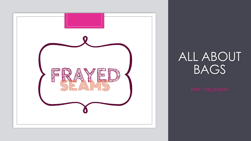

### ALL ABOUT BAGS

TRACY FELDMANN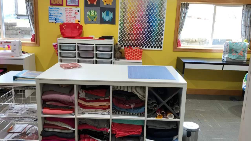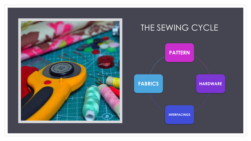

### THE SEWING CYCLE

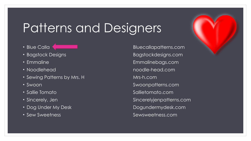### Patterns and Designers

- Blue Calla
- Bagstock Designs
- Emmaline
- Noodlehead
- Sewing Patterns by Mrs. H
- Swoon
- Sallie Tomato
- Sincerely, Jen
- Dog Under My Desk
- Sew Sweetness

Bluecallapatterns.com Bagstockdesigns.com Emmalinebags.com noodle-head.com Mrs-h.com Swoonpatterns.com Sallietomato.com Sincerelyjenpatterns.com Dogundermydesk.com Sewsweetness.com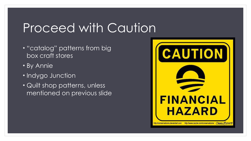### Proceed with Caution

- "catalog" patterns from big box craft stores
- By Annie
- Indygo Junction
- Quilt shop patterns, unless mentioned on previous slide

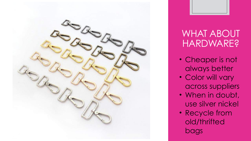

### WHAT ABOUT HARDWARE?

- Cheaper is not always better
- Color will vary across suppliers
- When in doubt, use silver nickel
- Recycle from old/thrifted bags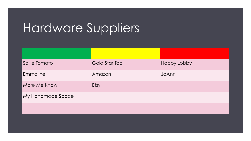## Hardware Suppliers

| Sallie Tomato     | Gold Star Tool | Hobby Lobby |
|-------------------|----------------|-------------|
| Emmaline          | Amazon         | JoAnn       |
| More Me Know      | Etsy           |             |
| My Handmade Space |                |             |
|                   |                |             |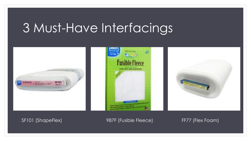### 3 Must-Have Interfacings



### SF101 (ShapeFlex) 387F (Fusible Fleece) FF77 (Flex Foam)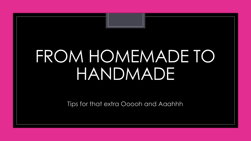# FROM HOMEMADE TO HANDMADE

Tips for that extra Ooooh and Aaahhh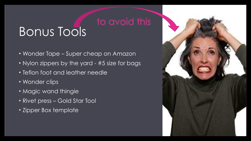## Bonus Tools

- Wonder Tape Super cheap on Amazon
- Nylon zippers by the yard #5 size for bags
- Teflon foot and leather needle
- Wonder clips
- Magic wand thingie
- Rivet press Gold Star Tool
- Zipper Box template

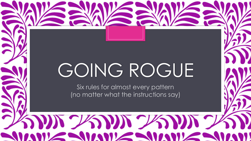# GOING ROGUE

Six rules for almost every pattern (no matter what the instructions say)

# WOOD YOOD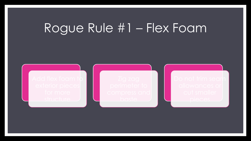### Rogue Rule #1 – Flex Foam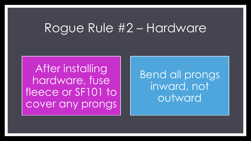### Rogue Rule #2 – Hardware

After installing hardware, fuse fleece or SF101 to cover any prongs

Bend all prongs inward, not outward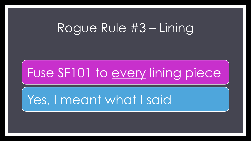### Rogue Rule #3 – Lining

## Fuse SF101 to every lining piece

Yes, I meant what I said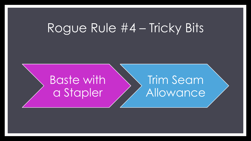### Rogue Rule #4 – Tricky Bits

### **Baste with** a Stapler

### Trim Seam Allowance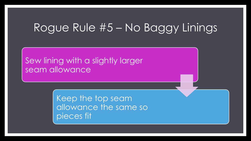### Rogue Rule #5 – No Baggy Linings

Sew lining with a slightly larger seam allowance

> Keep the top seam allowance the same so pieces fit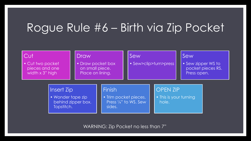### Rogue Rule #6 – Birth via Zip Pocket



WARNING: Zip Pocket no less than 7"